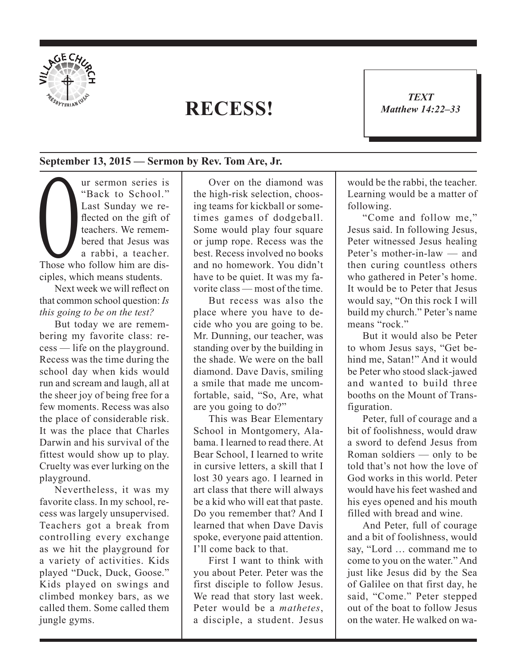

## **RECESS!**

*TEXT Matthew 14:22–33* 1

## **September 13, 2015 — Sermon by Rev. Tom Are, Jr.**

The UP of teachers is<br>
"Back to School."<br>
Last Sunday we re-<br>
flected on the gift of<br>
teachers. We remem-<br>
bered that Jesus was<br>
a rabbi, a teacher.<br>
Those who follow him are dis-"Back to School." Last Sunday we reflected on the gift of teachers. We remembered that Jesus was a rabbi, a teacher. Those who follow him are disciples, which means students.

Next week we will reflect on that common school question: *Is this going to be on the test?*

But today we are remembering my favorite class: recess — life on the playground. Recess was the time during the school day when kids would run and scream and laugh, all at the sheer joy of being free for a few moments. Recess was also the place of considerable risk. It was the place that Charles Darwin and his survival of the fittest would show up to play. Cruelty was ever lurking on the playground.

Nevertheless, it was my favorite class. In my school, recess was largely unsupervised. Teachers got a break from controlling every exchange as we hit the playground for a variety of activities. Kids played "Duck, Duck, Goose." Kids played on swings and climbed monkey bars, as we called them. Some called them jungle gyms.

Over on the diamond was the high-risk selection, choosing teams for kickball or sometimes games of dodgeball. Some would play four square or jump rope. Recess was the best. Recess involved no books and no homework. You didn't have to be quiet. It was my favorite class — most of the time.

But recess was also the place where you have to decide who you are going to be. Mr. Dunning, our teacher, was standing over by the building in the shade. We were on the ball diamond. Dave Davis, smiling a smile that made me uncomfortable, said, "So, Are, what are you going to do?"

This was Bear Elementary School in Montgomery, Alabama. I learned to read there. At Bear School, I learned to write in cursive letters, a skill that I lost 30 years ago. I learned in art class that there will always be a kid who will eat that paste. Do you remember that? And I learned that when Dave Davis spoke, everyone paid attention. I'll come back to that.

First I want to think with you about Peter. Peter was the first disciple to follow Jesus. We read that story last week. Peter would be a *mathetes*, a disciple, a student. Jesus would be the rabbi, the teacher. Learning would be a matter of following.

"Come and follow me," Jesus said. In following Jesus, Peter witnessed Jesus healing Peter's mother-in-law — and then curing countless others who gathered in Peter's home. It would be to Peter that Jesus would say, "On this rock I will build my church." Peter's name means "rock"

But it would also be Peter to whom Jesus says, "Get behind me, Satan!" And it would be Peter who stood slack-jawed and wanted to build three booths on the Mount of Transfiguration.

Peter, full of courage and a bit of foolishness, would draw a sword to defend Jesus from Roman soldiers — only to be told that's not how the love of God works in this world. Peter would have his feet washed and his eyes opened and his mouth filled with bread and wine.

And Peter, full of courage and a bit of foolishness, would say, "Lord … command me to come to you on the water." And just like Jesus did by the Sea of Galilee on that first day, he said, "Come." Peter stepped out of the boat to follow Jesus on the water. He walked on wa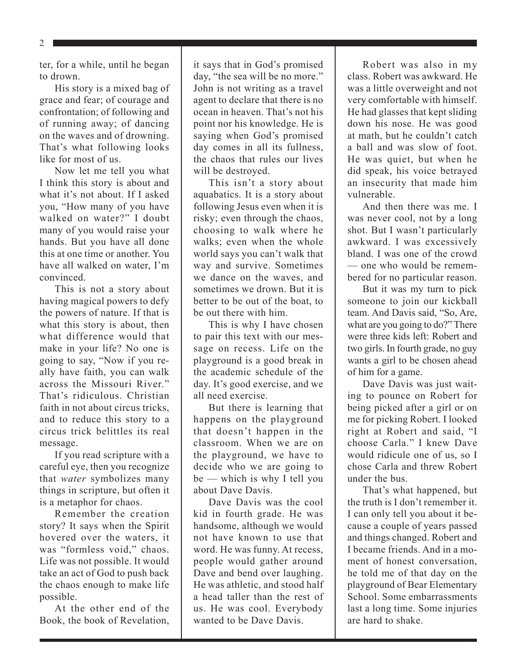ter, for a while, until he began to drown.

His story is a mixed bag of grace and fear; of courage and confrontation; of following and of running away; of dancing on the waves and of drowning. That's what following looks like for most of us.

Now let me tell you what I think this story is about and what it's not about. If I asked you, "How many of you have walked on water?" I doubt many of you would raise your hands. But you have all done this at one time or another. You have all walked on water, I'm convinced.

This is not a story about having magical powers to defy the powers of nature. If that is what this story is about, then what difference would that make in your life? No one is going to say, "Now if you really have faith, you can walk across the Missouri River." That's ridiculous. Christian faith in not about circus tricks, and to reduce this story to a circus trick belittles its real message.

If you read scripture with a careful eye, then you recognize that *water* symbolizes many things in scripture, but often it is a metaphor for chaos.

Remember the creation story? It says when the Spirit hovered over the waters, it was "formless void," chaos. Life was not possible. It would take an act of God to push back the chaos enough to make life possible.

At the other end of the Book, the book of Revelation, it says that in God's promised day, "the sea will be no more." John is not writing as a travel agent to declare that there is no ocean in heaven. That's not his point nor his knowledge. He is saying when God's promised day comes in all its fullness, the chaos that rules our lives will be destroyed.

This isn't a story about aquabatics. It is a story about following Jesus even when it is risky; even through the chaos, choosing to walk where he walks; even when the whole world says you can't walk that way and survive. Sometimes we dance on the waves, and sometimes we drown. But it is better to be out of the boat, to be out there with him.

This is why I have chosen to pair this text with our message on recess. Life on the playground is a good break in the academic schedule of the day. It's good exercise, and we all need exercise.

But there is learning that happens on the playground that doesn't happen in the classroom. When we are on the playground, we have to decide who we are going to be — which is why I tell you about Dave Davis.

Dave Davis was the cool kid in fourth grade. He was handsome, although we would not have known to use that word. He was funny. At recess, people would gather around Dave and bend over laughing. He was athletic, and stood half a head taller than the rest of us. He was cool. Everybody wanted to be Dave Davis.

Robert was also in my class. Robert was awkward. He was a little overweight and not very comfortable with himself. He had glasses that kept sliding down his nose. He was good at math, but he couldn't catch a ball and was slow of foot. He was quiet, but when he did speak, his voice betrayed an insecurity that made him vulnerable.

And then there was me. I was never cool, not by a long shot. But I wasn't particularly awkward. I was excessively bland. I was one of the crowd — one who would be remembered for no particular reason.

But it was my turn to pick someone to join our kickball team. And Davis said, "So, Are, what are you going to do?" There were three kids left: Robert and two girls. In fourth grade, no guy wants a girl to be chosen ahead of him for a game.

Dave Davis was just waiting to pounce on Robert for being picked after a girl or on me for picking Robert. I looked right at Robert and said, "I choose Carla." I knew Dave would ridicule one of us, so I chose Carla and threw Robert under the bus.

That's what happened, but the truth is I don't remember it. I can only tell you about it because a couple of years passed and things changed. Robert and I became friends. And in a moment of honest conversation, he told me of that day on the playground of Bear Elementary School. Some embarrassments last a long time. Some injuries are hard to shake.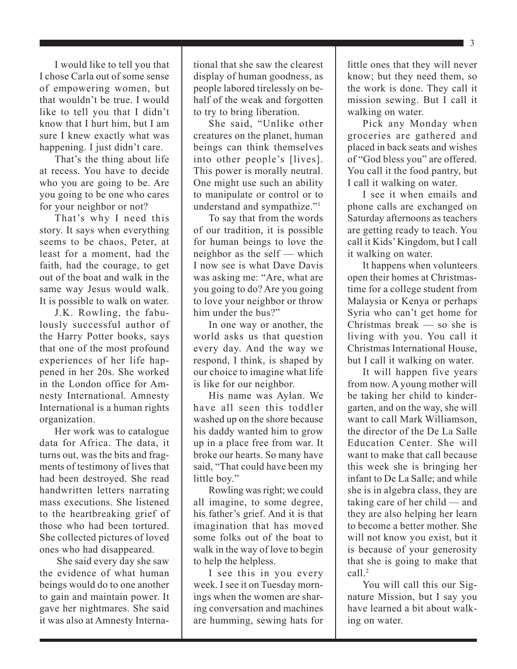I would like to tell you that I chose Carla out of some sense of empowering women, but that wouldn't be true. I would like to tell you that I didn't know that I hurt him, but I am sure I knew exactly what was happening. I just didn't care.

That's the thing about life at recess. You have to decide who you are going to be. Are you going to be one who cares for your neighbor or not?

That's why I need this story. It says when everything seems to be chaos, Peter, at least for a moment, had the faith, had the courage, to get out of the boat and walk in the same way Jesus would walk. It is possible to walk on water.

J.K. Rowling, the fabulously successful author of the Harry Potter books, says that one of the most profound experiences of her life happened in her 20s. She worked in the London office for Amnesty International. Amnesty International is a human rights organization.

Her work was to catalogue data for Africa. The data, it turns out, was the bits and fragments of testimony of lives that had been destroyed. She read handwritten letters narrating mass executions. She listened to the heartbreaking grief of those who had been tortured. She collected pictures of loved ones who had disappeared.

 She said every day she saw the evidence of what human beings would do to one another to gain and maintain power. It gave her nightmares. She said it was also at Amnesty International that she saw the clearest display of human goodness, as people labored tirelessly on behalf of the weak and forgotten to try to bring liberation.

She said, "Unlike other creatures on the planet, human beings can think themselves into other people's [lives]. This power is morally neutral. One might use such an ability to manipulate or control or to understand and sympathize."<sup>1</sup>

To say that from the words of our tradition, it is possible for human beings to love the neighbor as the self — which I now see is what Dave Davis was asking me: "Are, what are you going to do? Are you going to love your neighbor or throw him under the bus?"

In one way or another, the world asks us that question every day. And the way we respond, I think, is shaped by our choice to imagine what life is like for our neighbor.

His name was Aylan. We have all seen this toddler washed up on the shore because his daddy wanted him to grow up in a place free from war. It broke our hearts. So many have said, "That could have been my little boy."

Rowling was right; we could all imagine, to some degree, his father's grief. And it is that imagination that has moved some folks out of the boat to walk in the way of love to begin to help the helpless.

I see this in you every week. I see it on Tuesday mornings when the women are sharing conversation and machines are humming, sewing hats for little ones that they will never know; but they need them, so the work is done. They call it mission sewing. But I call it walking on water.

Pick any Monday when groceries are gathered and placed in back seats and wishes of "God bless you" are offered. You call it the food pantry, but I call it walking on water.

I see it when emails and phone calls are exchanged on Saturday afternoons as teachers are getting ready to teach. You call it Kids' Kingdom, but I call it walking on water.

It happens when volunteers open their homes at Christmastime for a college student from Malaysia or Kenya or perhaps Syria who can't get home for Christmas break — so she is living with you. You call it Christmas International House, but I call it walking on water.

It will happen five years from now. A young mother will be taking her child to kindergarten, and on the way, she will want to call Mark Williamson, the director of the De La Salle Education Center. She will want to make that call because this week she is bringing her infant to De La Salle; and while she is in algebra class, they are taking care of her child — and they are also helping her learn to become a better mother. She will not know you exist, but it is because of your generosity that she is going to make that call  $2$ 

You will call this our Signature Mission, but I say you have learned a bit about walking on water.